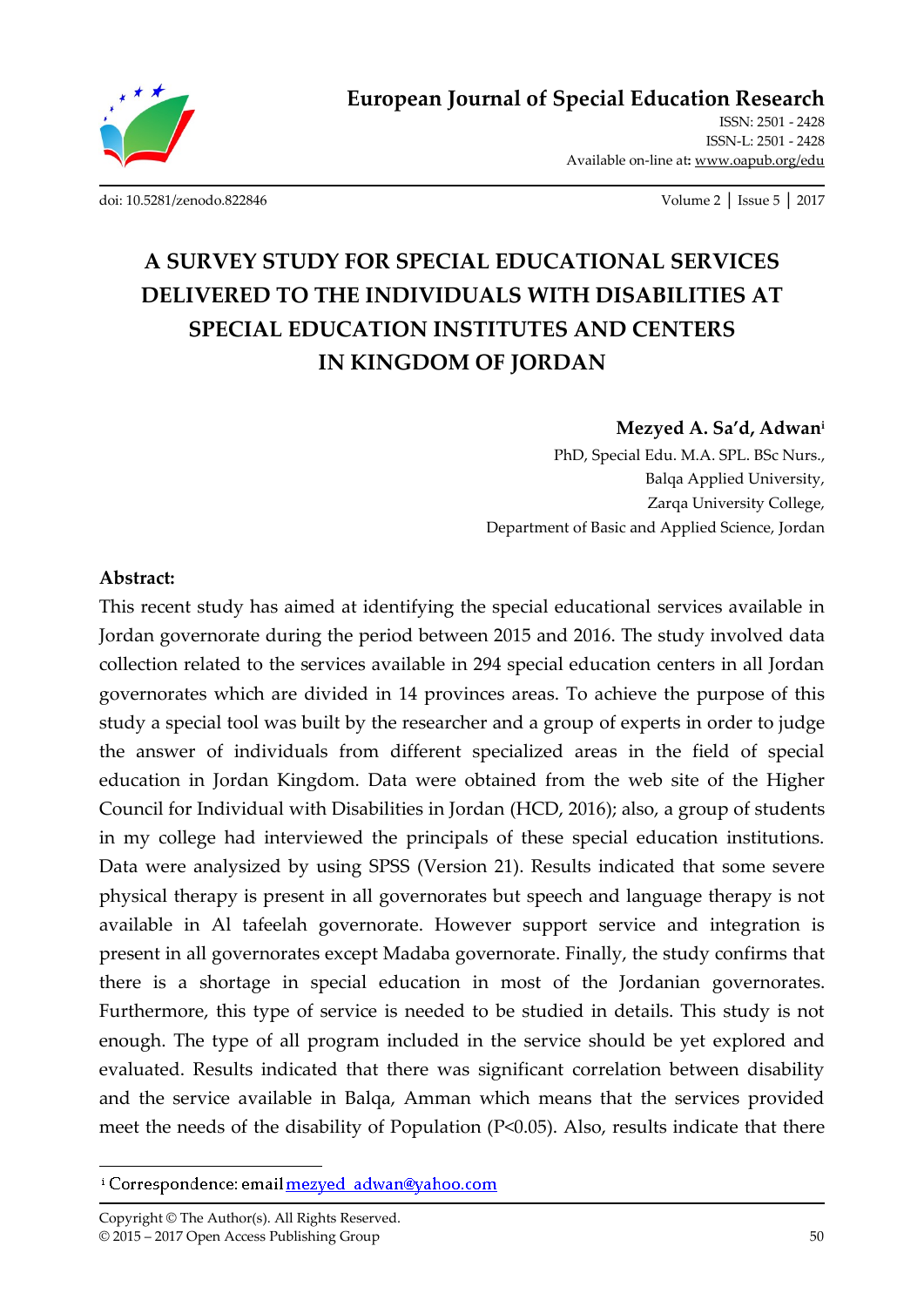

**European Journal of Special Education Research**

ISSN: 2501 - 2428 ISSN-L: 2501 - 2428 Available on-line at**:** www.oapub.org/edu

[doi: 10.5281/zenodo.822846](http://dx.doi.org/10.5281/zenodo.822846) Volume 2 │ Issue 5 │ 2017

# **A SURVEY STUDY FOR SPECIAL EDUCATIONAL SERVICES DELIVERED TO THE INDIVIDUALS WITH DISABILITIES AT SPECIAL EDUCATION INSTITUTES AND CENTERS IN KINGDOM OF JORDAN**

### **Mezyed A. Sa'd, Adwan<sup>i</sup>**

PhD, Special Edu. M.A. SPL. BSc Nurs., Balqa Applied University, Zarqa University College, Department of Basic and Applied Science, Jordan

#### **Abstract:**

 $\overline{a}$ 

This recent study has aimed at identifying the special educational services available in Jordan governorate during the period between 2015 and 2016. The study involved data collection related to the services available in 294 special education centers in all Jordan governorates which are divided in 14 provinces areas. To achieve the purpose of this study a special tool was built by the researcher and a group of experts in order to judge the answer of individuals from different specialized areas in the field of special education in Jordan Kingdom. Data were obtained from the web site of the Higher Council for Individual with Disabilities in Jordan (HCD, 2016); also, a group of students in my college had interviewed the principals of these special education institutions. Data were analysized by using SPSS (Version 21). Results indicated that some severe physical therapy is present in all governorates but speech and language therapy is not available in Al tafeelah governorate. However support service and integration is present in all governorates except Madaba governorate. Finally, the study confirms that there is a shortage in special education in most of the Jordanian governorates. Furthermore, this type of service is needed to be studied in details. This study is not enough. The type of all program included in the service should be yet explored and evaluated. Results indicated that there was significant correlation between disability and the service available in Balqa, Amman which means that the services provided meet the needs of the disability of Population (P<0.05). Also, results indicate that there

<sup>&</sup>lt;sup>i</sup> Correspondence: email mezyed adwan@yahoo.com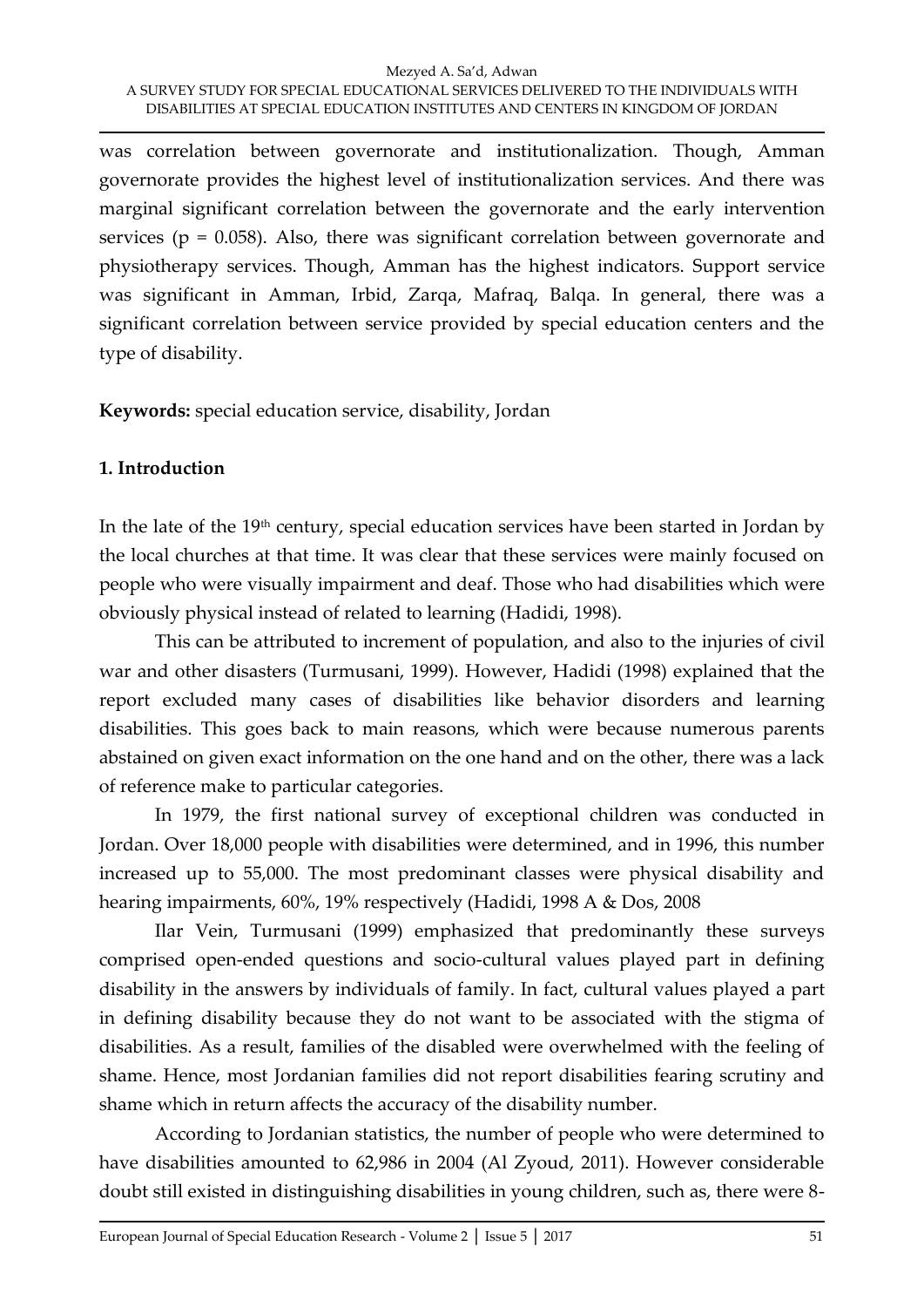was correlation between governorate and institutionalization. Though, Amman governorate provides the highest level of institutionalization services. And there was marginal significant correlation between the governorate and the early intervention services ( $p = 0.058$ ). Also, there was significant correlation between governorate and physiotherapy services. Though, Amman has the highest indicators. Support service was significant in Amman, Irbid, Zarqa, Mafraq, Balqa. In general, there was a significant correlation between service provided by special education centers and the type of disability.

**Keywords:** special education service, disability, Jordan

## **1. Introduction**

In the late of the 19<sup>th</sup> century, special education services have been started in Jordan by the local churches at that time. It was clear that these services were mainly focused on people who were visually impairment and deaf. Those who had disabilities which were obviously physical instead of related to learning (Hadidi, 1998).

This can be attributed to increment of population, and also to the injuries of civil war and other disasters (Turmusani, 1999). However, Hadidi (1998) explained that the report excluded many cases of disabilities like behavior disorders and learning disabilities. This goes back to main reasons, which were because numerous parents abstained on given exact information on the one hand and on the other, there was a lack of reference make to particular categories.

In 1979, the first national survey of exceptional children was conducted in Jordan. Over 18,000 people with disabilities were determined, and in 1996, this number increased up to 55,000. The most predominant classes were physical disability and hearing impairments, 60%, 19% respectively (Hadidi, 1998 A & Dos, 2008

Ilar Vein, Turmusani (1999) emphasized that predominantly these surveys comprised open-ended questions and socio-cultural values played part in defining disability in the answers by individuals of family. In fact, cultural values played a part in defining disability because they do not want to be associated with the stigma of disabilities. As a result, families of the disabled were overwhelmed with the feeling of shame. Hence, most Jordanian families did not report disabilities fearing scrutiny and shame which in return affects the accuracy of the disability number.

According to Jordanian statistics, the number of people who were determined to have disabilities amounted to 62,986 in 2004 (Al Zyoud, 2011). However considerable doubt still existed in distinguishing disabilities in young children, such as, there were 8-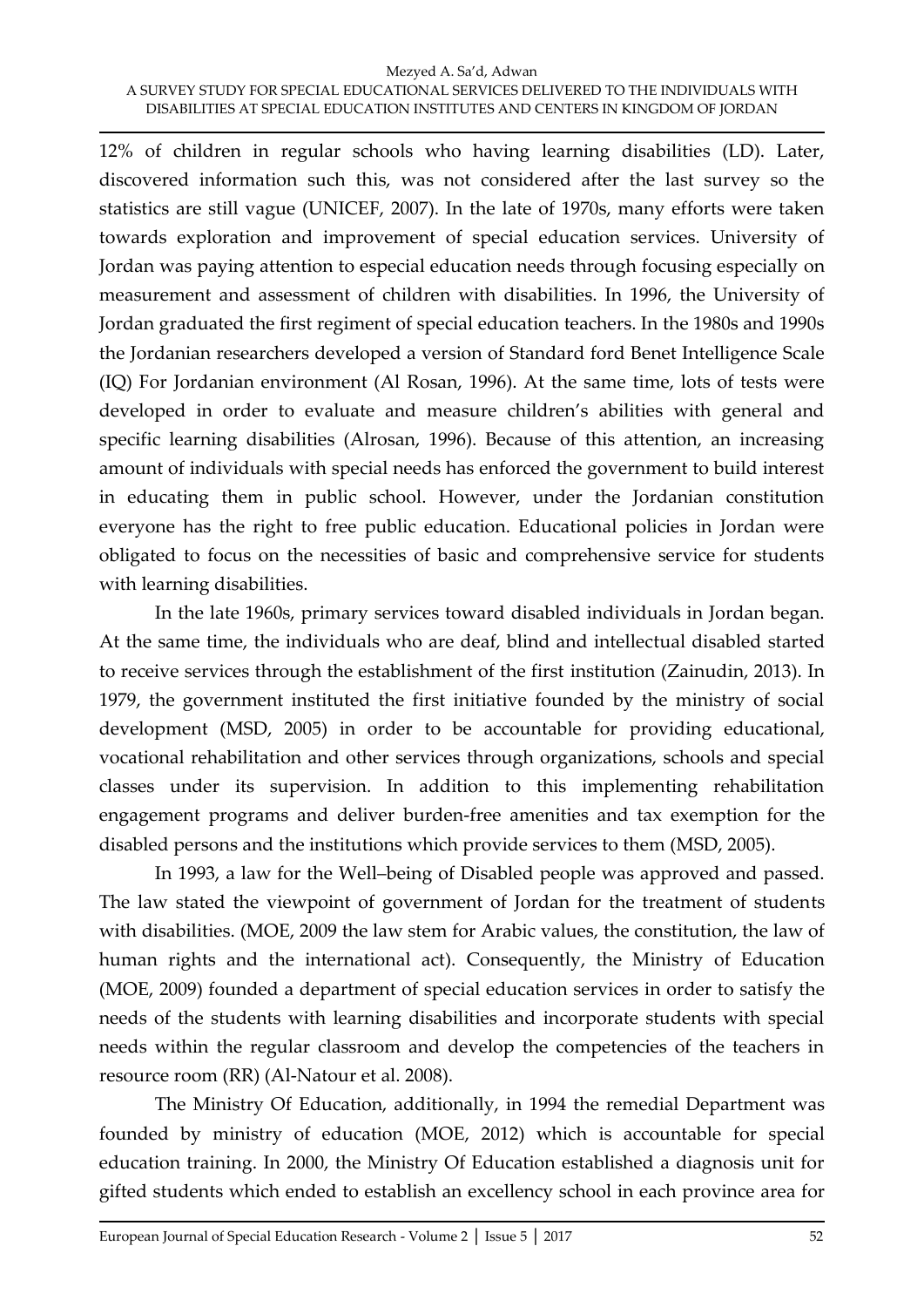12% of children in regular schools who having learning disabilities (LD). Later, discovered information such this, was not considered after the last survey so the statistics are still vague (UNICEF, 2007). In the late of 1970s, many efforts were taken towards exploration and improvement of special education services. University of Jordan was paying attention to especial education needs through focusing especially on measurement and assessment of children with disabilities. In 1996, the University of Jordan graduated the first regiment of special education teachers. In the 1980s and 1990s the Jordanian researchers developed a version of Standard ford Benet Intelligence Scale (IQ) For Jordanian environment (Al Rosan, 1996). At the same time, lots of tests were developed in order to evaluate and measure children's abilities with general and specific learning disabilities (Alrosan, 1996). Because of this attention, an increasing amount of individuals with special needs has enforced the government to build interest in educating them in public school. However, under the Jordanian constitution everyone has the right to free public education. Educational policies in Jordan were obligated to focus on the necessities of basic and comprehensive service for students with learning disabilities.

In the late 1960s, primary services toward disabled individuals in Jordan began. At the same time, the individuals who are deaf, blind and intellectual disabled started to receive services through the establishment of the first institution (Zainudin, 2013). In 1979, the government instituted the first initiative founded by the ministry of social development (MSD, 2005) in order to be accountable for providing educational, vocational rehabilitation and other services through organizations, schools and special classes under its supervision. In addition to this implementing rehabilitation engagement programs and deliver burden-free amenities and tax exemption for the disabled persons and the institutions which provide services to them (MSD, 2005).

In 1993, a law for the Well–being of Disabled people was approved and passed. The law stated the viewpoint of government of Jordan for the treatment of students with disabilities. (MOE, 2009 the law stem for Arabic values, the constitution, the law of human rights and the international act). Consequently, the Ministry of Education (MOE, 2009) founded a department of special education services in order to satisfy the needs of the students with learning disabilities and incorporate students with special needs within the regular classroom and develop the competencies of the teachers in resource room (RR) (Al-Natour et al. 2008).

The Ministry Of Education, additionally, in 1994 the remedial Department was founded by ministry of education (MOE, 2012) which is accountable for special education training. In 2000, the Ministry Of Education established a diagnosis unit for gifted students which ended to establish an excellency school in each province area for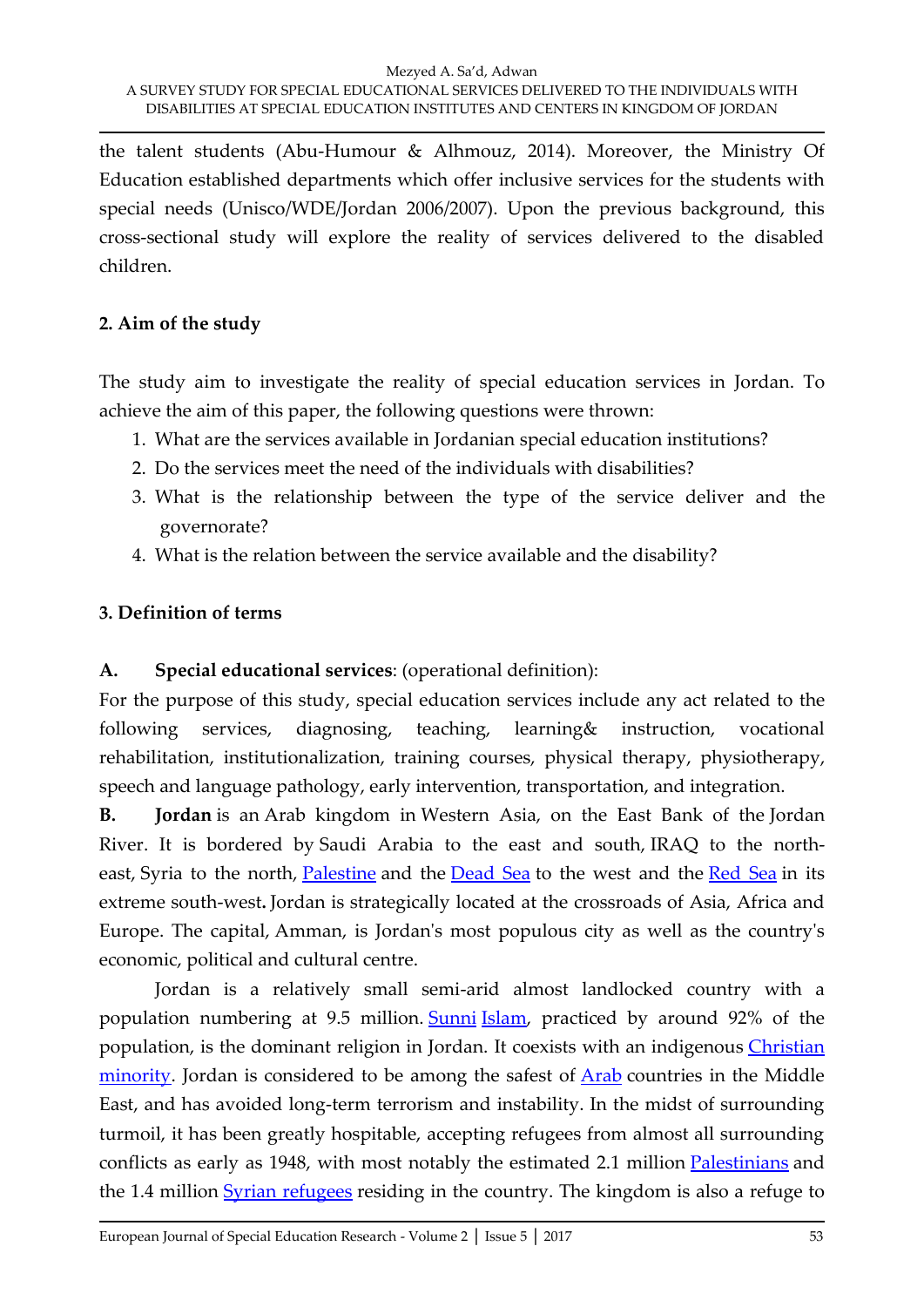the talent students (Abu-Humour & Alhmouz, 2014). Moreover, the Ministry Of Education established departments which offer inclusive services for the students with special needs (Unisco/WDE/Jordan 2006/2007). Upon the previous background, this cross-sectional study will explore the reality of services delivered to the disabled children.

# **2. Aim of the study**

The study aim to investigate the reality of special education services in Jordan. To achieve the aim of this paper, the following questions were thrown:

- 1. What are the services available in Jordanian special education institutions?
- 2. Do the services meet the need of the individuals with disabilities?
- 3. What is the relationship between the type of the service deliver and the governorate?
- 4. What is the relation between the service available and the disability?

# **3. Definition of terms**

# **A. Special educational services**: (operational definition):

For the purpose of this study, special education services include any act related to the following services, diagnosing, teaching, learning& instruction, vocational rehabilitation, institutionalization, training courses, physical therapy, physiotherapy, speech and language pathology, early intervention, transportation, and integration.

**B. Jordan** is an Arab kingdom in Western Asia, on the East Bank of the Jordan River. It is bordered by Saudi Arabia to the east and south, IRAQ to the north-east, Syria to the north, [Palestine](https://en.wikipedia.org/wiki/State_of_Palestine) and the [Dead Sea](https://en.wikipedia.org/wiki/Dead_Sea) to the west and the [Red Sea](https://en.wikipedia.org/wiki/Red_Sea) in its extreme south-west**.** Jordan is strategically located at the crossroads of Asia, Africa and Europe. The capital, Amman, is Jordan's most populous city as well as the country's economic, political and cultural centre.

Jordan is a relatively small semi-arid almost landlocked country with a population numbering at 9.5 million. [Sunni](https://en.wikipedia.org/wiki/Sunni_Islam) [Islam,](https://en.wikipedia.org/wiki/Islam) practiced by around 92% of the population, is the dominant religion in Jordan. It coexists with an indigenous Christian [minority.](https://en.wikipedia.org/wiki/Christianity_in_Jordan) Jordan is considered to be among the safest of **[Arab](https://en.wikipedia.org/wiki/Arab)** countries in the Middle East, and has avoided long-term terrorism and instability. In the midst of surrounding turmoil, it has been greatly hospitable, accepting refugees from almost all surrounding conflicts as early as 1948, with most notably the estimated 2.1 million [Palestinians](https://en.wikipedia.org/wiki/Palestinian_refugees) and the 1.4 million [Syrian refugees](https://en.wikipedia.org/wiki/Syrian_refugees) residing in the country. The kingdom is also a refuge to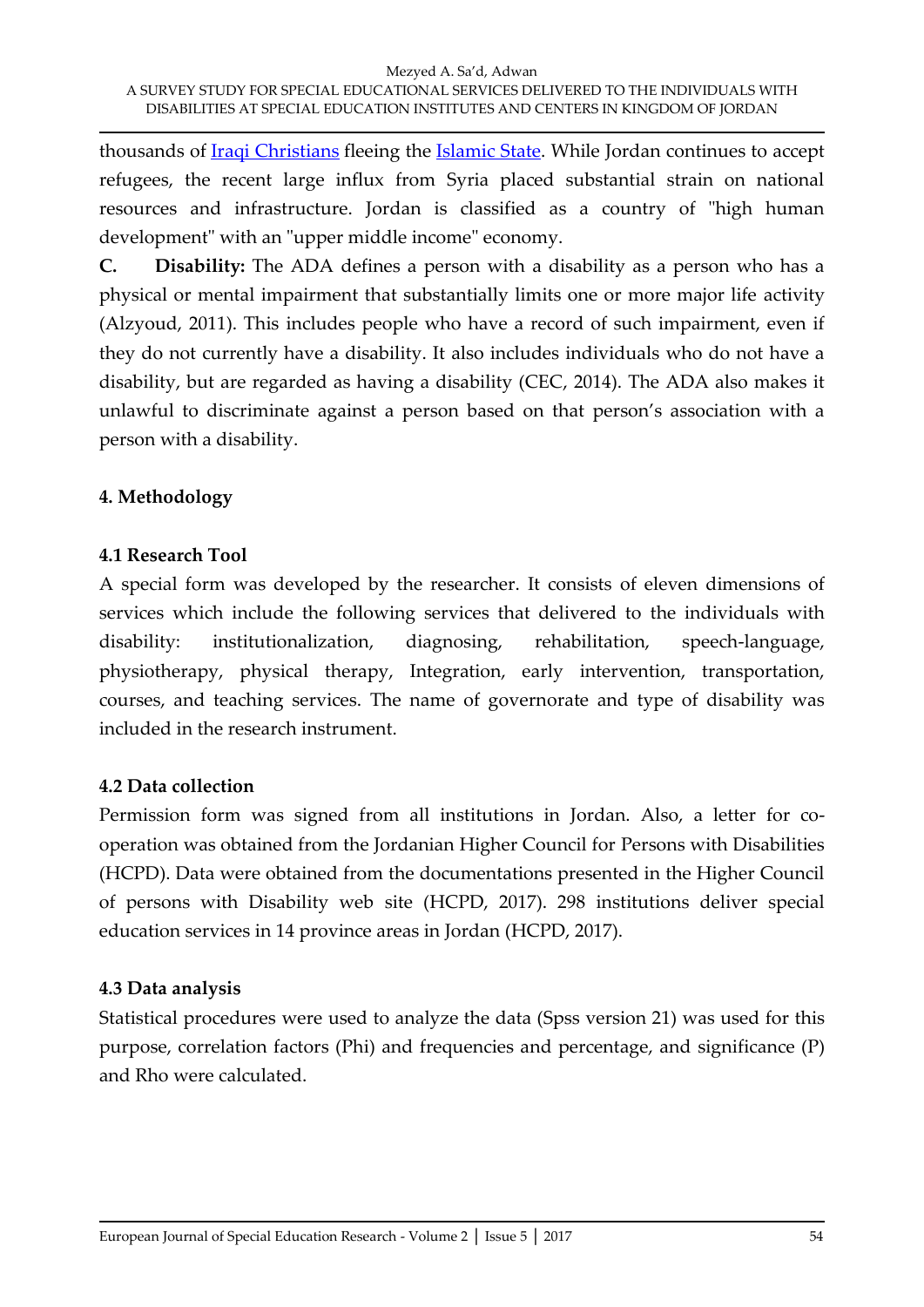thousands of [Iraqi Christians](https://en.wikipedia.org/wiki/Iraqi_Christians) fleeing the [Islamic State.](https://en.wikipedia.org/wiki/Islamic_State_of_Iraq_and_the_Levant) While Jordan continues to accept refugees, the recent large influx from Syria placed substantial strain on national resources and infrastructure. Jordan is classified as a country of "high human development" with an "upper middle income" economy.

**C. Disability:** The ADA defines a person with a disability as a person who has a physical or mental impairment that substantially limits one or more major life activity (Alzyoud, 2011). This includes people who have a record of such impairment, even if they do not currently have a disability. It also includes individuals who do not have a disability, but are regarded as having a disability (CEC, 2014). The ADA also makes it unlawful to discriminate against a person based on that person's association with a person with a disability.

## **4. Methodology**

## **4.1 Research Tool**

A special form was developed by the researcher. It consists of eleven dimensions of services which include the following services that delivered to the individuals with disability: institutionalization, diagnosing, rehabilitation, speech-language, physiotherapy, physical therapy, Integration, early intervention, transportation, courses, and teaching services. The name of governorate and type of disability was included in the research instrument.

# **4.2 Data collection**

Permission form was signed from all institutions in Jordan. Also, a letter for cooperation was obtained from the Jordanian Higher Council for Persons with Disabilities (HCPD). Data were obtained from the documentations presented in the Higher Council of persons with Disability web site (HCPD, 2017). 298 institutions deliver special education services in 14 province areas in Jordan (HCPD, 2017).

# **4.3 Data analysis**

Statistical procedures were used to analyze the data (Spss version 21) was used for this purpose, correlation factors (Phi) and frequencies and percentage, and significance (P) and Rho were calculated.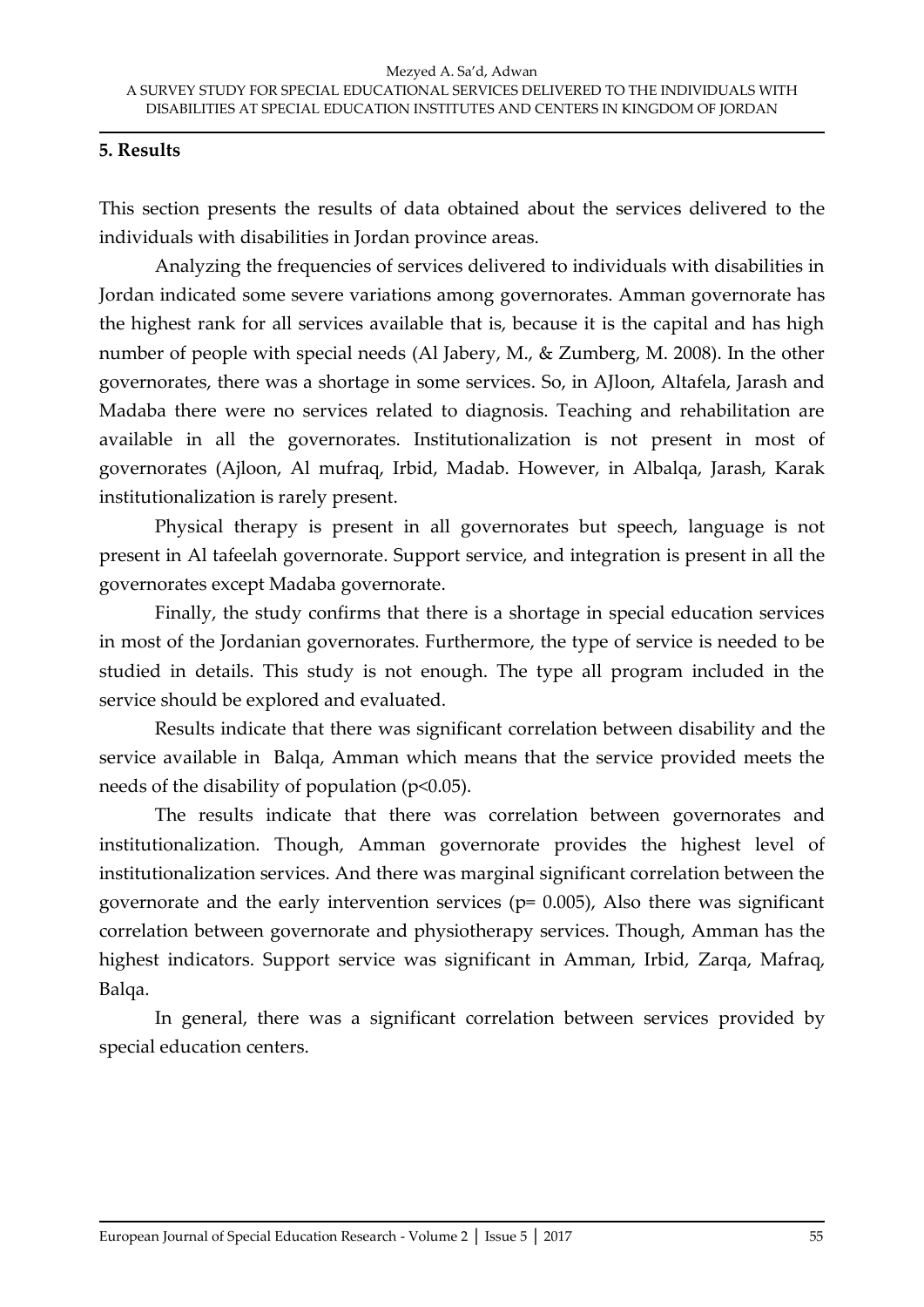### **5. Results**

This section presents the results of data obtained about the services delivered to the individuals with disabilities in Jordan province areas.

Analyzing the frequencies of services delivered to individuals with disabilities in Jordan indicated some severe variations among governorates. Amman governorate has the highest rank for all services available that is, because it is the capital and has high number of people with special needs (Al Jabery, M., & Zumberg, M. 2008). In the other governorates, there was a shortage in some services. So, in AJloon, Altafela, Jarash and Madaba there were no services related to diagnosis. Teaching and rehabilitation are available in all the governorates. Institutionalization is not present in most of governorates (Ajloon, Al mufraq, Irbid, Madab. However, in Albalqa, Jarash, Karak institutionalization is rarely present.

Physical therapy is present in all governorates but speech, language is not present in Al tafeelah governorate. Support service, and integration is present in all the governorates except Madaba governorate.

Finally, the study confirms that there is a shortage in special education services in most of the Jordanian governorates. Furthermore, the type of service is needed to be studied in details. This study is not enough. The type all program included in the service should be explored and evaluated.

Results indicate that there was significant correlation between disability and the service available in Balqa, Amman which means that the service provided meets the needs of the disability of population ( $p<0.05$ ).

The results indicate that there was correlation between governorates and institutionalization. Though, Amman governorate provides the highest level of institutionalization services. And there was marginal significant correlation between the governorate and the early intervention services ( $p= 0.005$ ), Also there was significant correlation between governorate and physiotherapy services. Though, Amman has the highest indicators. Support service was significant in Amman, Irbid, Zarqa, Mafraq, Balqa.

In general, there was a significant correlation between services provided by special education centers.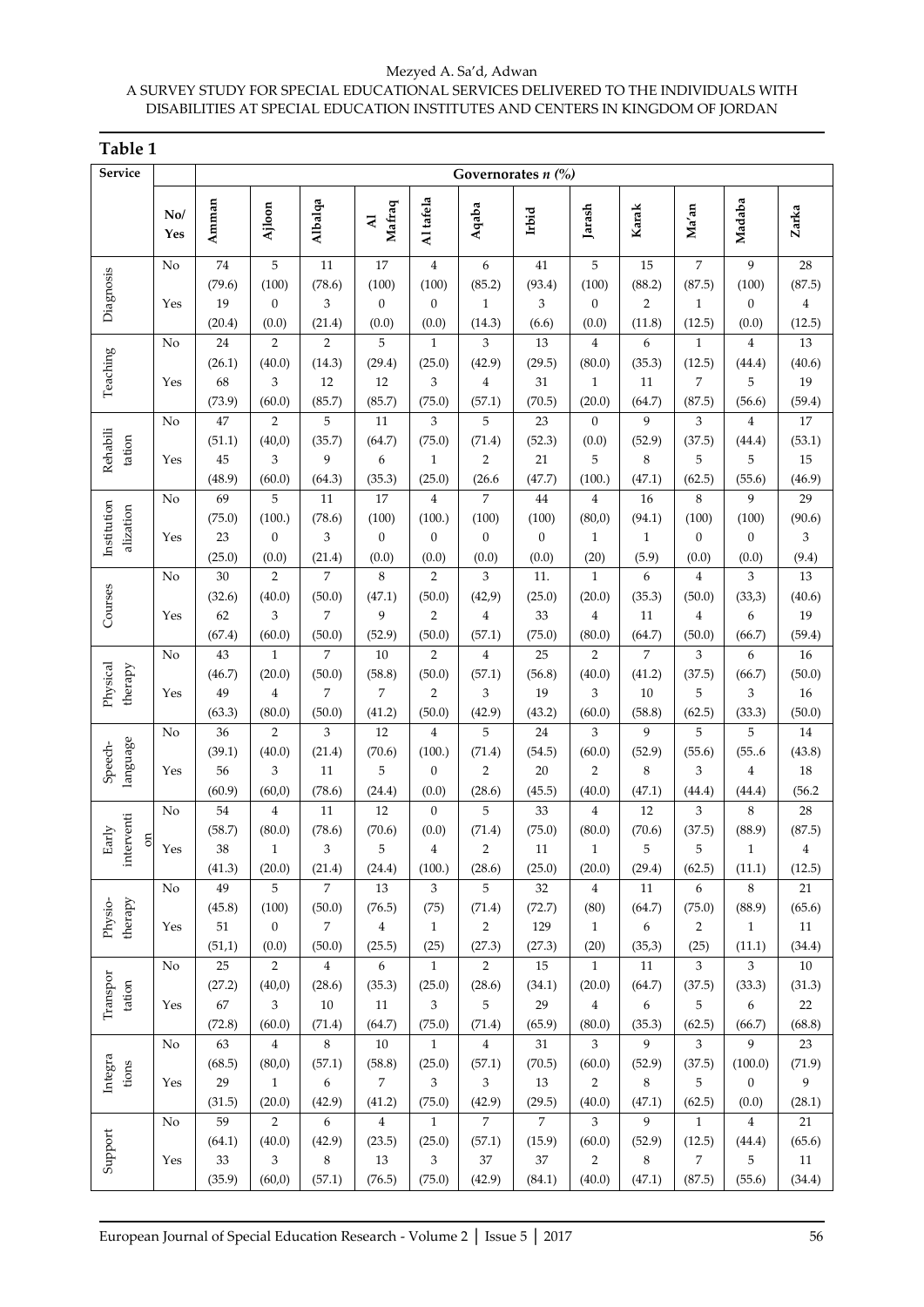| Table 1                               |                                     |                              |                                          |                                    |                                 |                                            |                                            |                              |                                                    |                                |                                          |                                             |                                         |
|---------------------------------------|-------------------------------------|------------------------------|------------------------------------------|------------------------------------|---------------------------------|--------------------------------------------|--------------------------------------------|------------------------------|----------------------------------------------------|--------------------------------|------------------------------------------|---------------------------------------------|-----------------------------------------|
| Service                               | Governorates $n$ $\left(\% \right)$ |                              |                                          |                                    |                                 |                                            |                                            |                              |                                                    |                                |                                          |                                             |                                         |
|                                       | No/<br>Yes                          | Amman                        | Ajloon                                   | Albalqa                            | Mafraq<br>$\overline{A}$        | Al tafela                                  | Aqaba                                      | Irbid                        | Jarash                                             | Karak                          | Ma'an                                    | Madaba                                      | Zarka                                   |
| Diagnosis                             | No<br>Yes                           | 74<br>(79.6)<br>19           | 5<br>(100)<br>$\boldsymbol{0}$           | 11<br>(78.6)<br>3                  | 17<br>(100)<br>$\boldsymbol{0}$ | $\bf{4}$<br>(100)<br>$\boldsymbol{0}$      | 6<br>(85.2)<br>$\mathbf{1}$                | 41<br>(93.4)<br>3            | 5<br>(100)<br>$\mathbf{0}$                         | 15<br>(88.2)<br>$\overline{2}$ | $\overline{7}$<br>(87.5)<br>$\mathbf{1}$ | $\overline{9}$<br>(100)<br>$\boldsymbol{0}$ | 28<br>(87.5)<br>$\overline{\mathbf{4}}$ |
|                                       | No                                  | (20.4)<br>24                 | (0.0)<br>$\overline{2}$                  | (21.4)<br>$\overline{2}$           | (0.0)<br>5                      | (0.0)<br>$\mathbf{1}$                      | (14.3)<br>3                                | (6.6)<br>13                  | (0.0)<br>$\overline{4}$                            | (11.8)<br>6                    | (12.5)<br>$\mathbf{1}$                   | (0.0)<br>$\overline{4}$                     | (12.5)<br>13                            |
| Teaching                              | Yes                                 | (26.1)<br>68<br>(73.9)       | (40.0)<br>3<br>(60.0)                    | (14.3)<br>12<br>(85.7)             | (29.4)<br>12<br>(85.7)          | (25.0)<br>3<br>(75.0)                      | (42.9)<br>$\overline{4}$<br>(57.1)         | (29.5)<br>31<br>(70.5)       | (80.0)<br>$\mathbf{1}$<br>(20.0)                   | (35.3)<br>11<br>(64.7)         | (12.5)<br>$\overline{7}$<br>(87.5)       | (44.4)<br>5<br>(56.6)                       | (40.6)<br>19<br>(59.4)                  |
| Rehabili<br>tation                    | No                                  | 47<br>(51.1)                 | $\overline{2}$<br>(40,0)                 | 5<br>(35.7)                        | 11<br>(64.7)                    | 3<br>(75.0)                                | 5<br>(71.4)                                | 23<br>(52.3)                 | $\Omega$<br>(0.0)                                  | 9<br>(52.9)                    | 3<br>(37.5)                              | $\overline{4}$<br>(44.4)                    | 17<br>(53.1)                            |
|                                       | Yes                                 | 45<br>(48.9)                 | 3<br>(60.0)                              | 9<br>(64.3)                        | 6<br>(35.3)                     | $\mathbf{1}$<br>(25.0)                     | $\overline{2}$<br>(26.6)                   | 21<br>(47.7)                 | 5<br>(100.)                                        | 8<br>(47.1)                    | 5<br>(62.5)                              | 5<br>(55.6)                                 | 15<br>(46.9)                            |
| Institution<br>alization              | No                                  | 69<br>(75.0)                 | 5<br>(100.)                              | 11<br>(78.6)                       | 17<br>(100)                     | $\overline{4}$<br>(100.)                   | $\overline{7}$<br>(100)                    | 44<br>(100)                  | $\overline{4}$<br>(80,0)                           | 16<br>(94.1)                   | 8<br>(100)                               | 9<br>(100)                                  | 29<br>(90.6)                            |
|                                       | Yes                                 | 23<br>(25.0)                 | $\theta$<br>(0.0)                        | 3<br>(21.4)                        | $\boldsymbol{0}$<br>(0.0)       | $\mathbf{0}$<br>(0.0)                      | $\mathbf{0}$<br>(0.0)                      | $\boldsymbol{0}$<br>(0.0)    | $\mathbf{1}$<br>(20)                               | 1<br>(5.9)                     | $\overline{0}$<br>(0.0)                  | $\boldsymbol{0}$<br>(0.0)                   | 3<br>(9.4)                              |
| Courses<br>Physical<br>therapy        | No<br>Yes                           | 30<br>(32.6)<br>62           | $\overline{2}$<br>(40.0)<br>3            | 7<br>(50.0)<br>7                   | 8<br>(47.1)<br>9                | $\overline{2}$<br>(50.0)<br>$\overline{2}$ | 3<br>(42,9)<br>$\overline{4}$              | 11.<br>(25.0)<br>33          | $\mathbf{1}$<br>(20.0)<br>$\overline{4}$           | 6<br>(35.3)<br>11              | $\overline{4}$<br>(50.0)<br>$\bf 4$      | 3<br>(33,3)<br>6                            | 13<br>(40.6)<br>19                      |
|                                       | No                                  | (67.4)<br>43                 | (60.0)<br>$\mathbf{1}$                   | (50.0)<br>$\overline{7}$           | (52.9)<br>10                    | (50.0)<br>$\overline{2}$                   | (57.1)<br>$\overline{4}$                   | (75.0)<br>25                 | (80.0)<br>$\overline{2}$                           | (64.7)<br>$\overline{7}$       | (50.0)<br>3                              | (66.7)<br>6                                 | (59.4)<br>16                            |
|                                       | Yes                                 | (46.7)<br>49<br>(63.3)       | (20.0)<br>$\overline{4}$<br>(80.0)       | (50.0)<br>$\overline{7}$<br>(50.0) | (58.8)<br>7<br>(41.2)           | (50.0)<br>$\overline{2}$<br>(50.0)         | (57.1)<br>3<br>(42.9)                      | (56.8)<br>19<br>(43.2)       | (40.0)<br>3<br>(60.0)                              | (41.2)<br>10<br>(58.8)         | (37.5)<br>5<br>(62.5)                    | (66.7)<br>3<br>(33.3)                       | (50.0)<br>16<br>(50.0)                  |
| language<br>Speech-                   | No                                  | 36<br>(39.1)                 | $\overline{2}$<br>(40.0)                 | 3<br>(21.4)                        | 12<br>(70.6)                    | $\overline{4}$<br>(100.)                   | 5<br>(71.4)                                | 24<br>(54.5)                 | 3<br>(60.0)                                        | 9<br>(52.9)                    | 5<br>(55.6)                              | 5<br>(55.6)                                 | 14<br>(43.8)                            |
|                                       | Yes                                 | 56<br>(60.9)                 | 3<br>(60, 0)                             | 11<br>(78.6)                       | 5<br>(24.4)                     | $\boldsymbol{0}$<br>(0.0)                  | $\overline{2}$<br>(28.6)                   | 20<br>(45.5)                 | $\overline{2}$<br>(40.0)                           | 8<br>(47.1)                    | 3<br>(44.4)                              | $\overline{4}$<br>(44.4)                    | 18<br>(56.2)                            |
| interventi<br>Early<br>$\mathfrak{m}$ | No<br>Yes                           | 54<br>(58.7)<br>38<br>(41.3) | 4<br>(80.0)<br>$\mathbf{1}$<br>(20.0)    | 11<br>(78.6)<br>3<br>(21.4)        | 12<br>(70.6)<br>5<br>(24.4)     | $\theta$<br>(0.0)<br>$\bf{4}$<br>(100.)    | 5<br>(71.4)<br>$\overline{2}$<br>(28.6)    | 33<br>(75.0)<br>11<br>(25.0) | $\overline{4}$<br>(80.0)<br>$\mathbf{1}$<br>(20.0) | 12<br>(70.6)<br>5<br>(29.4)    | 3<br>(37.5)<br>5<br>(62.5)               | 8<br>(88.9)<br>$\mathbf{1}$<br>(11.1)       | 28<br>(87.5)<br>4<br>(12.5)             |
| therapy<br>Physio-                    | No<br>Yes                           | 49<br>(45.8)<br>51           | 5<br>(100)<br>$\boldsymbol{0}$           | 7<br>(50.0)<br>7                   | 13<br>(76.5)<br>4               | 3<br>(75)                                  | 5<br>(71.4)                                | 32<br>(72.7)<br>129          | 4<br>(80)<br>$\mathbf{1}$                          | 11<br>(64.7)                   | 6<br>(75.0)<br>$\overline{2}$            | 8<br>(88.9)<br>$\mathbf{1}$                 | 21<br>(65.6)<br>$11\,$                  |
|                                       | No                                  | (51,1)<br>25                 | (0.0)<br>$\overline{2}$                  | (50.0)<br>$\overline{4}$           | (25.5)<br>6                     | $\mathbf{1}$<br>(25)<br>$\mathbf{1}$       | $\overline{c}$<br>(27.3)<br>$\overline{2}$ | (27.3)<br>15                 | (20)<br>$\mathbf{1}$                               | 6<br>(35,3)<br>$11\,$          | (25)<br>3                                | (11.1)<br>3                                 | (34.4)<br>$10\,$                        |
| Transpor<br>tation                    | Yes                                 | (27.2)<br>67<br>(72.8)       | (40,0)<br>3<br>(60.0)                    | (28.6)<br>10<br>(71.4)             | (35.3)<br>11<br>(64.7)          | (25.0)<br>3<br>(75.0)                      | (28.6)<br>5<br>(71.4)                      | (34.1)<br>29<br>(65.9)       | (20.0)<br>$\overline{4}$<br>(80.0)                 | (64.7)<br>6<br>(35.3)          | (37.5)<br>5<br>(62.5)                    | (33.3)<br>6<br>(66.7)                       | (31.3)<br>22<br>(68.8)                  |
| Integra<br>tions                      | No<br>Yes                           | 63<br>(68.5)<br>29           | $\overline{4}$<br>(80,0)<br>$\mathbf{1}$ | 8<br>(57.1)<br>6                   | 10<br>(58.8)<br>$\overline{7}$  | $\mathbf{1}$<br>(25.0)<br>3                | $\overline{4}$<br>(57.1)<br>3              | 31<br>(70.5)<br>13           | $\overline{3}$<br>(60.0)<br>$\overline{2}$         | 9<br>(52.9)<br>8               | 3<br>(37.5)<br>5                         | 9<br>(100.0)<br>$\boldsymbol{0}$            | 23<br>(71.9)<br>9                       |
|                                       | No                                  | (31.5)<br>59                 | (20.0)<br>$\overline{2}$                 | (42.9)<br>6                        | (41.2)<br>4                     | (75.0)<br>$\mathbf{1}$                     | (42.9)<br>7                                | (29.5)<br>7                  | (40.0)<br>3                                        | (47.1)<br>9                    | (62.5)<br>$\mathbf{1}$                   | (0.0)<br>4                                  | (28.1)<br>21                            |
| Support                               | Yes                                 | (64.1)<br>33<br>(35.9)       | (40.0)<br>3<br>(60,0)                    | (42.9)<br>8<br>(57.1)              | (23.5)<br>13<br>(76.5)          | (25.0)<br>3<br>(75.0)                      | (57.1)<br>$37\,$<br>(42.9)                 | (15.9)<br>37<br>(84.1)       | (60.0)<br>2<br>(40.0)                              | (52.9)<br>8<br>(47.1)          | (12.5)<br>7<br>(87.5)                    | (44.4)<br>5<br>(55.6)                       | (65.6)<br>11<br>(34.4)                  |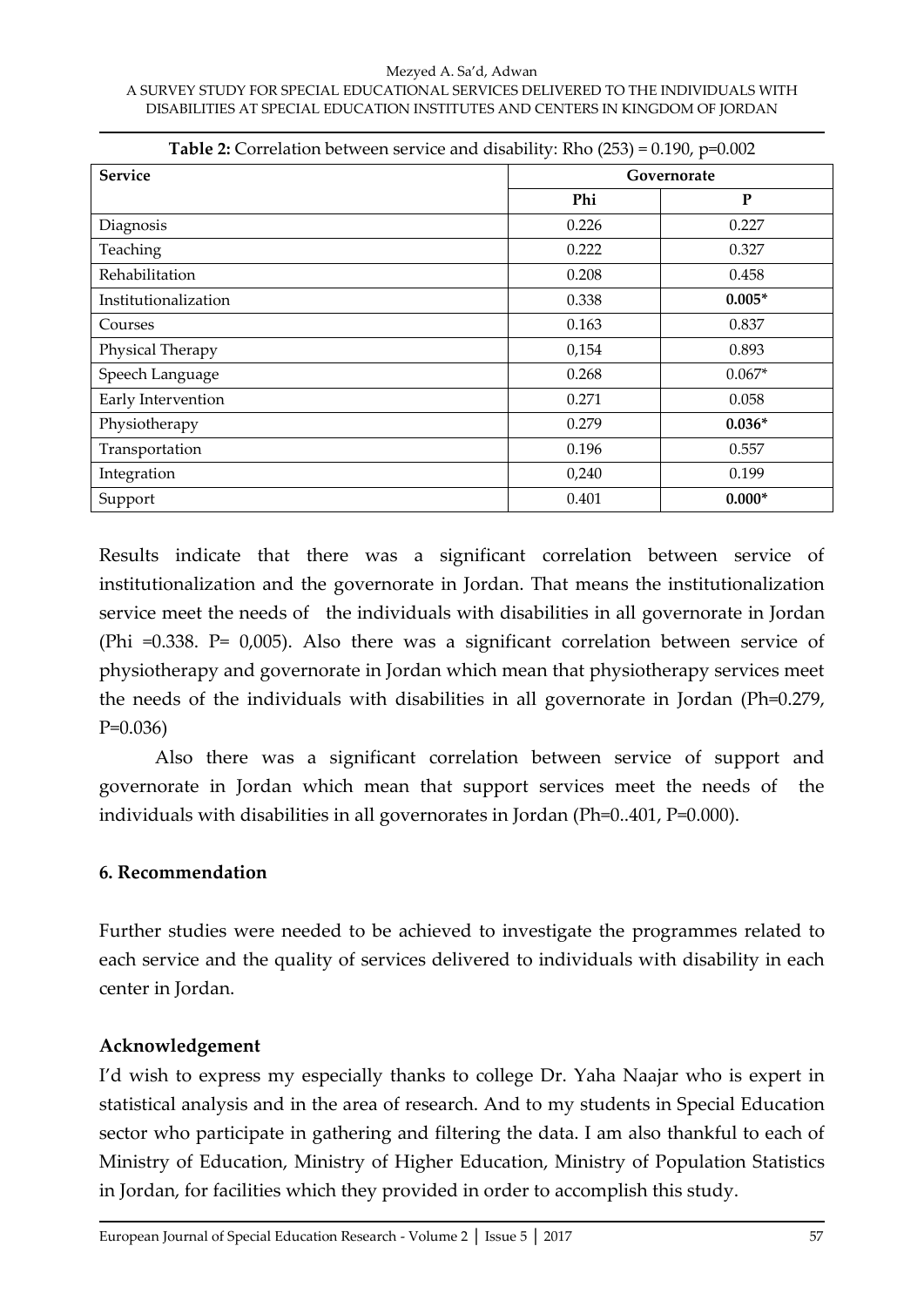| <b>Table 2:</b> Correlation between service and disability: Rho $(253) = 0.190$ , $p=0.002$ |             |           |  |  |  |  |  |  |
|---------------------------------------------------------------------------------------------|-------------|-----------|--|--|--|--|--|--|
| <b>Service</b>                                                                              | Governorate |           |  |  |  |  |  |  |
|                                                                                             | Phi         | ${\bf P}$ |  |  |  |  |  |  |
| Diagnosis                                                                                   | 0.226       | 0.227     |  |  |  |  |  |  |
| Teaching                                                                                    | 0.222       | 0.327     |  |  |  |  |  |  |
| Rehabilitation                                                                              | 0.208       | 0.458     |  |  |  |  |  |  |
| Institutionalization                                                                        | 0.338       | $0.005*$  |  |  |  |  |  |  |
| Courses                                                                                     | 0.163       | 0.837     |  |  |  |  |  |  |
| Physical Therapy                                                                            | 0,154       | 0.893     |  |  |  |  |  |  |
| Speech Language                                                                             | 0.268       | $0.067*$  |  |  |  |  |  |  |
| Early Intervention                                                                          | 0.271       | 0.058     |  |  |  |  |  |  |
| Physiotherapy                                                                               | 0.279       | $0.036*$  |  |  |  |  |  |  |
| Transportation                                                                              | 0.196       | 0.557     |  |  |  |  |  |  |
| Integration                                                                                 | 0,240       | 0.199     |  |  |  |  |  |  |
| Support                                                                                     | 0.401       | $0.000*$  |  |  |  |  |  |  |

Results indicate that there was a significant correlation between service of institutionalization and the governorate in Jordan. That means the institutionalization service meet the needs of the individuals with disabilities in all governorate in Jordan (Phi =0.338. P= 0,005). Also there was a significant correlation between service of physiotherapy and governorate in Jordan which mean that physiotherapy services meet the needs of the individuals with disabilities in all governorate in Jordan (Ph=0.279, P=0.036)

Also there was a significant correlation between service of support and governorate in Jordan which mean that support services meet the needs of the individuals with disabilities in all governorates in Jordan (Ph=0..401, P=0.000).

### **6. Recommendation**

Further studies were needed to be achieved to investigate the programmes related to each service and the quality of services delivered to individuals with disability in each center in Jordan.

### **Acknowledgement**

I'd wish to express my especially thanks to college Dr. Yaha Naajar who is expert in statistical analysis and in the area of research. And to my students in Special Education sector who participate in gathering and filtering the data. I am also thankful to each of Ministry of Education, Ministry of Higher Education, Ministry of Population Statistics in Jordan, for facilities which they provided in order to accomplish this study.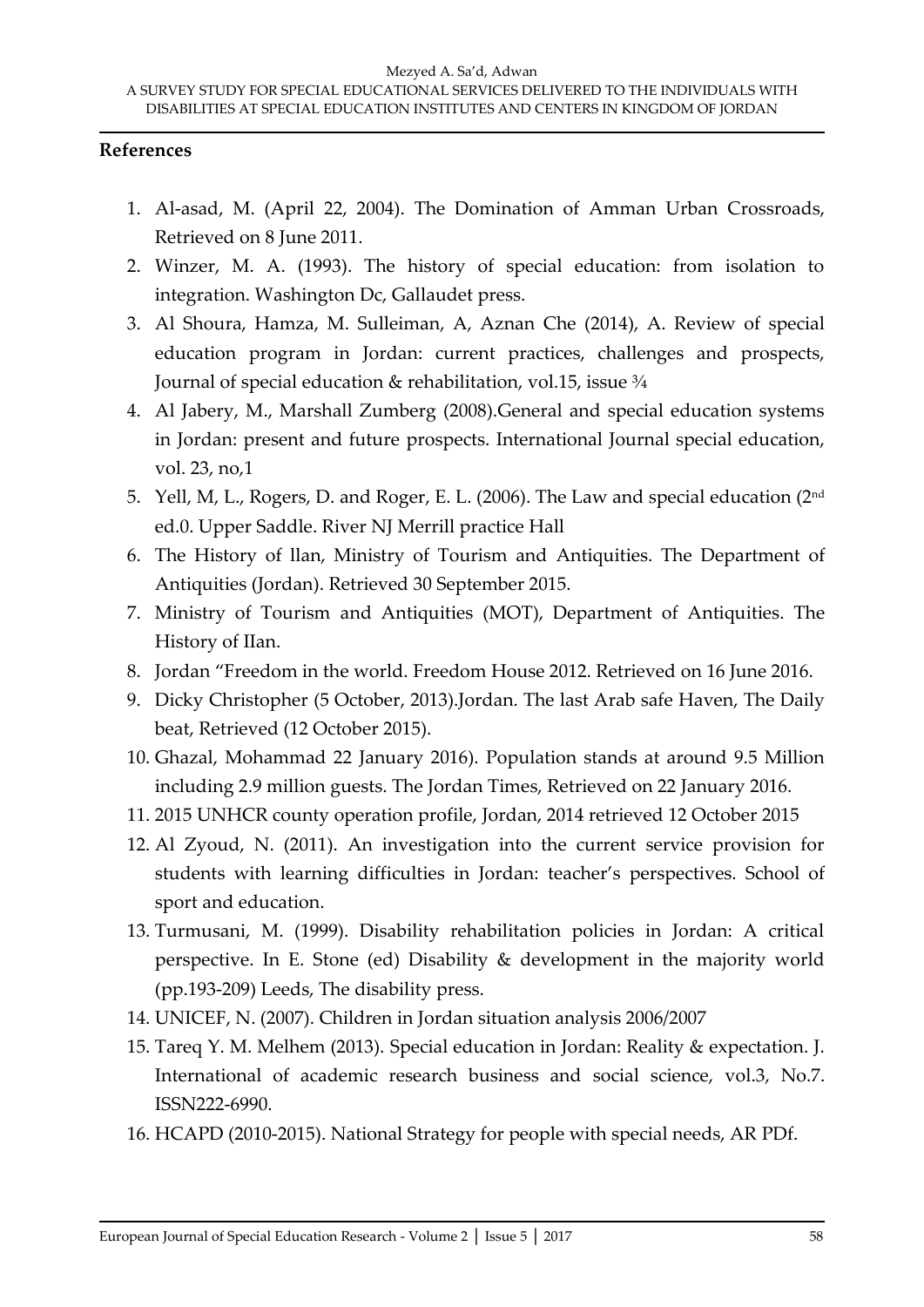### **References**

- 1. Al-asad, M. (April 22, 2004). The Domination of Amman Urban Crossroads, Retrieved on 8 June 2011.
- 2. Winzer, M. A. (1993). The history of special education: from isolation to integration. Washington Dc, Gallaudet press.
- 3. Al Shoura, Hamza, M. Sulleiman, A, Aznan Che (2014), A. Review of special education program in Jordan: current practices, challenges and prospects, Journal of special education & rehabilitation, vol.15, issue 3/4
- 4. Al Jabery, M., Marshall Zumberg (2008).General and special education systems in Jordan: present and future prospects. International Journal special education, vol. 23, no,1
- 5. Yell, M, L., Rogers, D. and Roger, E. L. (2006). The Law and special education (2nd ed.0. Upper Saddle. River NJ Merrill practice Hall
- 6. The History of llan, Ministry of Tourism and Antiquities. The Department of Antiquities (Jordan). Retrieved 30 September 2015.
- 7. Ministry of Tourism and Antiquities (MOT), Department of Antiquities. The History of IIan.
- 8. Jordan "Freedom in the world. Freedom House 2012. Retrieved on 16 June 2016.
- 9. Dicky Christopher (5 October, 2013).Jordan. The last Arab safe Haven, The Daily beat, Retrieved (12 October 2015).
- 10. Ghazal, Mohammad 22 January 2016). Population stands at around 9.5 Million including 2.9 million guests. The Jordan Times, Retrieved on 22 January 2016.
- 11. 2015 UNHCR county operation profile, Jordan, 2014 retrieved 12 October 2015
- 12. Al Zyoud, N. (2011). An investigation into the current service provision for students with learning difficulties in Jordan: teacher's perspectives. School of sport and education.
- 13. Turmusani, M. (1999). Disability rehabilitation policies in Jordan: A critical perspective. In E. Stone (ed) Disability & development in the majority world (pp.193-209) Leeds, The disability press.
- 14. UNICEF, N. (2007). Children in Jordan situation analysis 2006/2007
- 15. Tareq Y. M. Melhem (2013). Special education in Jordan: Reality & expectation. J. International of academic research business and social science, vol.3, No.7. ISSN222-6990.
- 16. HCAPD (2010-2015). National Strategy for people with special needs, AR PDf.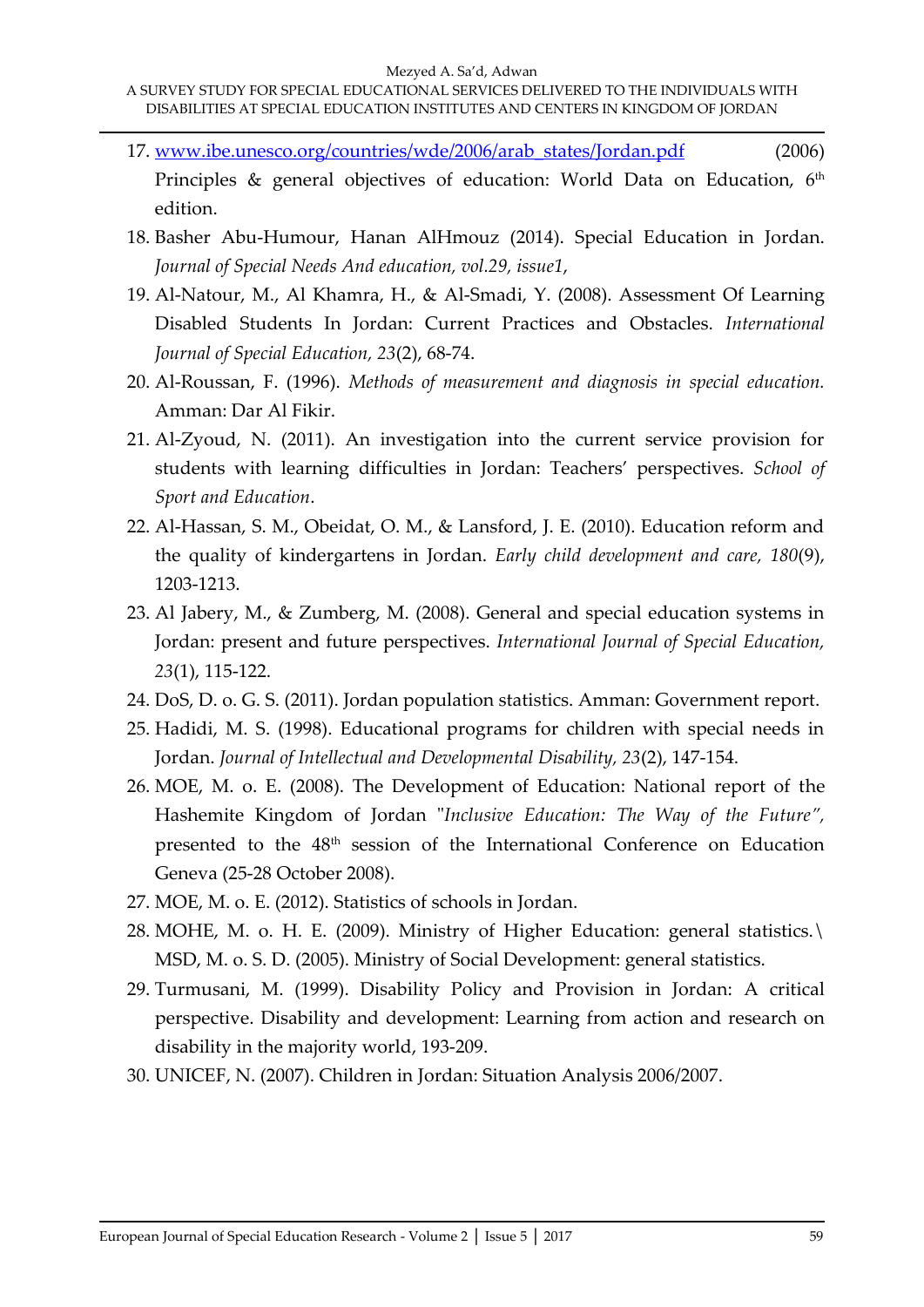#### Mezyed A. Sa'd, Adwan

- 17. [www.ibe.unesco.org/countries/wde/2006/arab\\_states/Jordan.pdf](http://www.ibe.unesco.org/countries/WDE/2006/ARAB_STATES/Jordan.PDF) (2006) Principles & general objectives of education: World Data on Education, 6th edition.
- 18. Basher Abu-Humour, Hanan AlHmouz (2014). Special Education in Jordan. *Journal of Special Needs And education, vol.29, issue1*,
- 19. Al-Natour, M., Al Khamra, H., & Al-Smadi, Y. (2008). Assessment Of Learning Disabled Students In Jordan: Current Practices and Obstacles. *International Journal of Special Education, 23*(2), 68-74.
- 20. Al-Roussan, F. (1996). *Methods of measurement and diagnosis in special education.*  Amman: Dar Al Fikir.
- 21. Al-Zyoud, N. (2011). An investigation into the current service provision for students with learning difficulties in Jordan: Teachers' perspectives. *School of Sport and Education*.
- 22. Al‐Hassan, S. M., Obeidat, O. M., & Lansford, J. E. (2010). Education reform and the quality of kindergartens in Jordan. *Early child development and care, 180*(9), 1203-1213.
- 23. Al Jabery, M., & Zumberg, M. (2008). General and special education systems in Jordan: present and future perspectives. *International Journal of Special Education, 23*(1), 115-122.
- 24. DoS, D. o. G. S. (2011). Jordan population statistics. Amman: Government report.
- 25. Hadidi, M. S. (1998). Educational programs for children with special needs in Jordan. *Journal of Intellectual and Developmental Disability, 23*(2), 147-154.
- 26. MOE, M. o. E. (2008). The Development of Education: National report of the Hashemite Kingdom of Jordan "*Inclusive Education: The Way of the Future",* presented to the 48th session of the International Conference on Education Geneva (25-28 October 2008).
- 27. MOE, M. o. E. (2012). Statistics of schools in Jordan.
- 28. MOHE, M. o. H. E. (2009). Ministry of Higher Education: general statistics.\ MSD, M. o. S. D. (2005). Ministry of Social Development: general statistics.
- 29. Turmusani, M. (1999). Disability Policy and Provision in Jordan: A critical perspective. Disability and development: Learning from action and research on disability in the majority world, 193-209.
- 30. UNICEF, N. (2007). Children in Jordan: Situation Analysis 2006/2007.